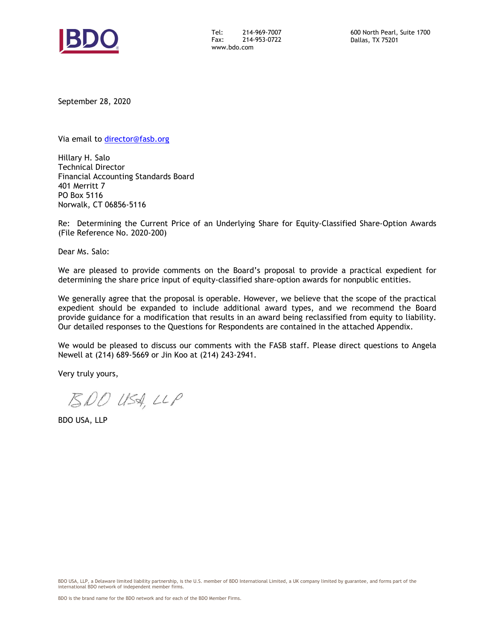

Tel: 214-969-7007 Fax: 214-953-0722 www.bdo.com

September 28, 2020

Via email to [director@fasb.org](mailto:director@fasb.org)

Hillary H. Salo Technical Director Financial Accounting Standards Board 401 Merritt 7 PO Box 5116 Norwalk, CT 06856-5116

Re: Determining the Current Price of an Underlying Share for Equity-Classified Share-Option Awards (File Reference No. 2020-200)

Dear Ms. Salo:

We are pleased to provide comments on the Board's proposal to provide a practical expedient for determining the share price input of equity-classified share-option awards for nonpublic entities.

We generally agree that the proposal is operable. However, we believe that the scope of the practical expedient should be expanded to include additional award types, and we recommend the Board provide guidance for a modification that results in an award being reclassified from equity to liability. Our detailed responses to the Questions for Respondents are contained in the attached Appendix.

We would be pleased to discuss our comments with the FASB staff. Please direct questions to Angela Newell at (214) 689-5669 or Jin Koo at (214) 243-2941.

Very truly yours,

BDO USA, LLP

BDO USA, LLP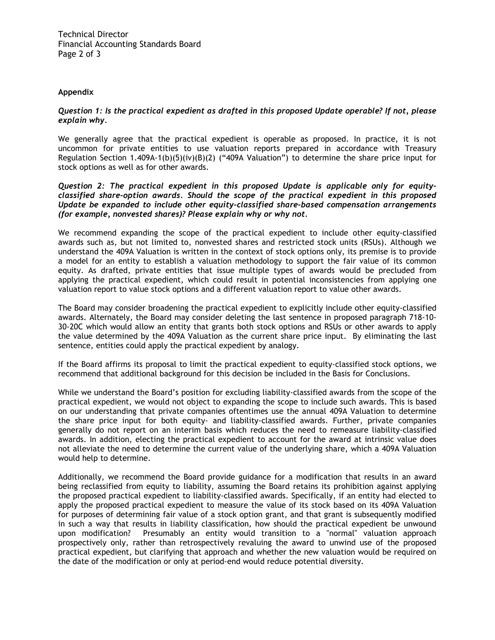Technical Director Financial Accounting Standards Board Page 2 of 3

## **Appendix**

# *Question 1: Is the practical expedient as drafted in this proposed Update operable? If not, please explain why.*

We generally agree that the practical expedient is operable as proposed. In practice, it is not uncommon for private entities to use valuation reports prepared in accordance with Treasury Regulation Section 1.409A-1(b)(5)(iv)(B)(2) ("409A Valuation") to determine the share price input for stock options as well as for other awards.

*Question 2: The practical expedient in this proposed Update is applicable only for equityclassified share-option awards. Should the scope of the practical expedient in this proposed Update be expanded to include other equity-classified share-based compensation arrangements (for example, nonvested shares)? Please explain why or why not.*

We recommend expanding the scope of the practical expedient to include other equity-classified awards such as, but not limited to, nonvested shares and restricted stock units (RSUs). Although we understand the 409A Valuation is written in the context of stock options only, its premise is to provide a model for an entity to establish a valuation methodology to support the fair value of its common equity. As drafted, private entities that issue multiple types of awards would be precluded from applying the practical expedient, which could result in potential inconsistencies from applying one valuation report to value stock options and a different valuation report to value other awards.

The Board may consider broadening the practical expedient to explicitly include other equity-classified awards. Alternately, the Board may consider deleting the last sentence in proposed paragraph 718-10- 30-20C which would allow an entity that grants both stock options and RSUs or other awards to apply the value determined by the 409A Valuation as the current share price input. By eliminating the last sentence, entities could apply the practical expedient by analogy.

If the Board affirms its proposal to limit the practical expedient to equity-classified stock options, we recommend that additional background for this decision be included in the Basis for Conclusions.

While we understand the Board's position for excluding liability-classified awards from the scope of the practical expedient, we would not object to expanding the scope to include such awards. This is based on our understanding that private companies oftentimes use the annual 409A Valuation to determine the share price input for both equity- and liability-classified awards. Further, private companies generally do not report on an interim basis which reduces the need to remeasure liability-classified awards. In addition, electing the practical expedient to account for the award at intrinsic value does not alleviate the need to determine the current value of the underlying share, which a 409A Valuation would help to determine.

Additionally, we recommend the Board provide guidance for a modification that results in an award being reclassified from equity to liability, assuming the Board retains its prohibition against applying the proposed practical expedient to liability-classified awards. Specifically, if an entity had elected to apply the proposed practical expedient to measure the value of its stock based on its 409A Valuation for purposes of determining fair value of a stock option grant, and that grant is subsequently modified in such a way that results in liability classification, how should the practical expedient be unwound upon modification? Presumably an entity would transition to a "normal" valuation approach prospectively only, rather than retrospectively revaluing the award to unwind use of the proposed practical expedient, but clarifying that approach and whether the new valuation would be required on the date of the modification or only at period-end would reduce potential diversity.